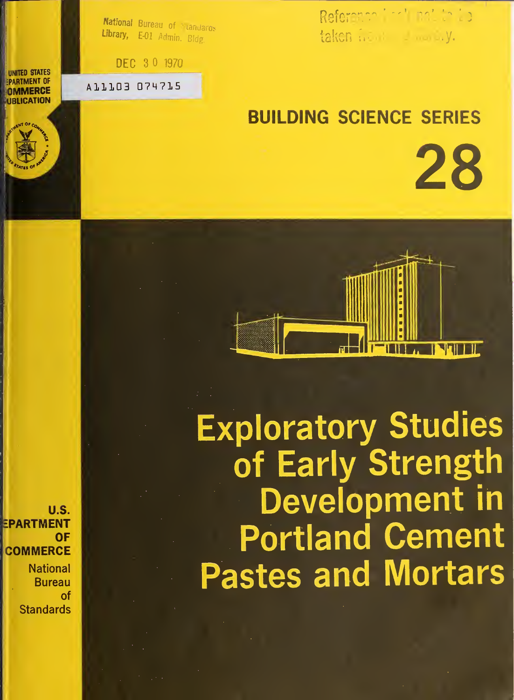National Bureau of Standards Library, E-01 Admin. Bldg.

# DEC <sup>3</sup> 0 1970

A111D3 D7M71S

united states **PARTMENT OF OMMERCE** UBLICATION Reference is the not to be taken in the should y.

**MATTELL** 

# BUILDING SCIENCE SERIES 28



Exploratory Studies of Early Strength Development in Portland Cement Pastes and Mortars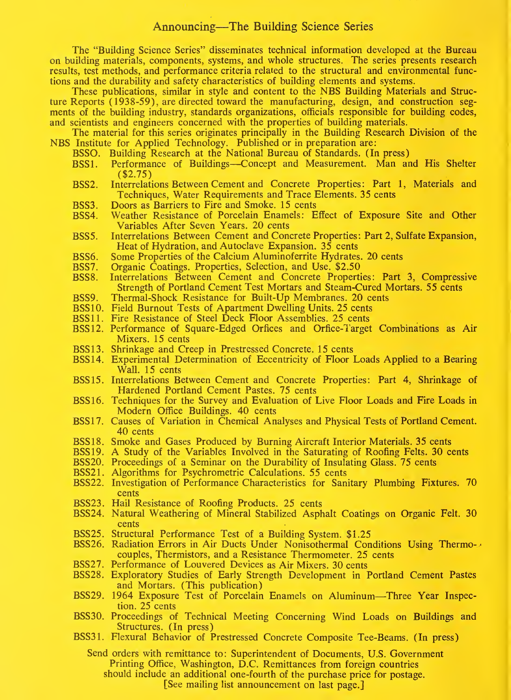#### Announcing—The Building Science Series

The "Building Science Series" disseminates technical information developed at the Bureau on building materials, components, systems, and whole structures. The series presents research results, test methods, and performance criteria related to the structural and environmental functions and the durability and safety characteristics of building elements and systems.

These publications, similar in style and content to the NBS Building Materials and Structure Reports (1938-59), are directed toward the manufacturing, design, and construction seg ments of the building industry, standards organizations, officials responsible for building codes, and scientists and engineers concerned with the properties of building materials.

The material for this series originates principally in the Building Research Division of the NBS Institute for Applied Technology. Published or in preparation are:

- BSSO. Building Research at the National Bureau of Standards. (In press)
- BSSl. Performance of Buildings—Concept and Measurement. Man and His Shelter (\$2.75)
- BSS2. Interrelations Between Cement and Concrete Properties: Part 1, Materials and Techniques, Water Requirements and Trace Elements. 35 cents
- BSS3. Doors as Barriers to Fire and Smoke. 15 cents
- BSS4. Weather Resistance of Porcelam Enamels: Effect of Exposure Site and Other Variables After Seven Years. 20 cents
- BSS5. Interrelations Between Cement and Concrete Properties : Part 2, Sulfate Expansion, Heat of Hydration, and Autoclave Expansion. 35 cents
- BSS6. Some Properties of the Calcium Aluminoferrite Hydrates. 20 cents BSS7. Organic Coatings. Properties, Selection, and Use. \$2.50
- BSS7. Organic Coatings. Properties, Selection, and Use. \$2.50<br>BSS8. Interrelations Between Cement and Concrete Properti
- Interrelations Between Cement and Concrete Properties: Part 3, Compressive Strength of Portland Cement Test Mortars and Steam-Cured Mortars. 55 cents
- BSS9. Thermal-Shock Resistance for Built-Up Membranes. 20 cents
- BSSIO. Field Burnout Tests of Apartment Dwelling Units. 25 cents
- BSSll. Fire Resistance of Steel Deck Floor Assemblies. 25 cents
- BSSl 2. Performance of Square-Edged Orfices and Orfice-Target Combinations as Air Mixers. 15 cents
- BSS13. Shrinkage and Creep in Prestressed Concrete. 15 cents
- BSSl 4. Experimental Determination of Eccentricity of Floor Loads Applied to a Bearing Wall. 15 cents
- BSS15. Interrelations Between Cement and Concrete Properties: Part 4, Shrinkage of Hardened Portland Cement Pastes. 75 cents
- BSS16. Techniques for the Survey and Evaluation of Live Floor Loads and Fire Loads in Modern Office Buildings. 40 cents
- BSS17. Causes of Variation in Chemical Analyses and Physical Tests of Portland Cement. 40 cents<br>BSS18. Smoke and Gases Produced by Burning Aircraft Interior Materials. 35 cents
- 
- BSS19. A Study of the Variables Involved in the Saturating of Roofing Felts. 30 cents
- BSS20. Proceedings of a Seminar on the Durability of Insulating Glass. 75 cents
- BSS21. Algorithms for Psychrometric Calculations. 55 cents
- BSS22. Investigation of Performance Characteristics for Sanitary Plumbing Fixtures. 70 cents
- BSS23. Hail Resistance of Roofing Products. 25 cents
- BSS24. Natural Weathering of Mineral Stabilized Asphalt Coatings on Organic Felt. 30 cents
- BSS25. Structural Performance Test of a Building System. \$1.25
- BSS26. Radiation Errors in Air Ducts Under Nonisothermal Conditions Using Thermo- $\lambda$  couples, Thermistors, and a Resistance Thermometer. 25 cents
- BSS27. Performance of Louvered Devices as Air Mixers. 30 cents
- BSS28. Exploratory Studies of Early Strength Development in Portland Cement Pastes and Mortars. (This publication)
- BSS29. <sup>1964</sup> Exposure Test of Porcelain Enamels on Aluminum—Three Year Inspec tion. 25 cents
- BSS30. Proceedings of Technical Meeting Concerning Wind Loads on Buildings and <sup>|</sup> Structures. (In press)
- BSS31. Flexural Behavior of Prestressed Concrete Composite Tee-Beams. (In press)

Send orders with remittance to: Superintendent of Documents, U.S. Government Printing Office, Washington, D.C. Remittances from foreign countries should include an additional one-fourth of the purchase price for postage. [See mailing list announcement on last page.]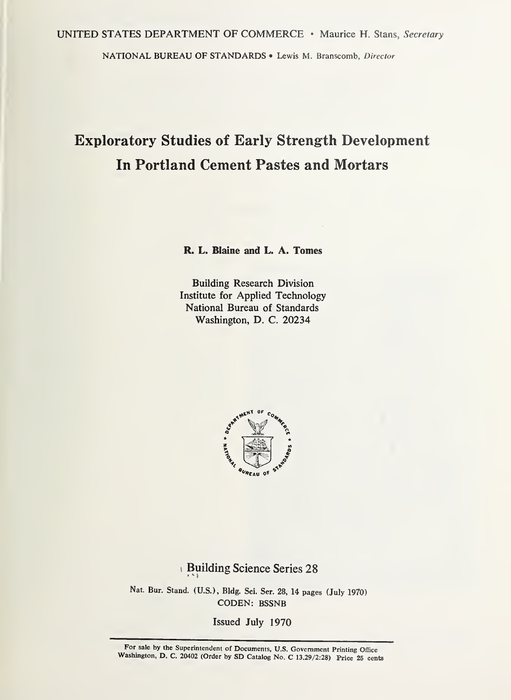# Exploratory Studies of Early Strength Development In Portland Cement Pastes and Mortars

#### R. L. Blaine and L. A. Tomes

Building Research Division Institute for Applied Technology National Bureau of Standards Washington, D. C. 20234



## Building Science Series 28

Nat. Bur. Stand. (U.S.), Bldg. Sci. Ser. 28, <sup>14</sup> pages (July 1970) CODEN: BSSNB

Issued July 1970

For sale by the Superintendent of Documents, U.S. Government Printing Office Washington, D. C. <sup>20402</sup> (Order by SD Catalog No. <sup>C</sup> 13.29/2:28) Price <sup>25</sup> cents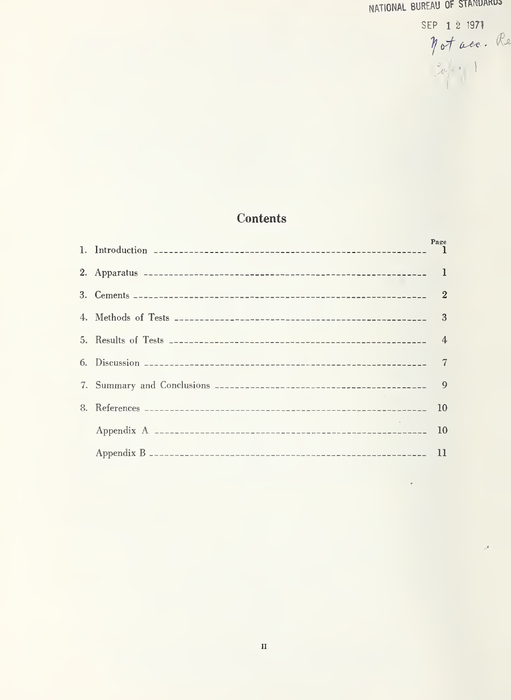NATIONAL BUREAU OF STANDARDS

 $\hat{\boldsymbol{\theta}}$ 

SEP 1 <sup>2</sup> 1971  $\mathcal{O}$ 

# **Contents**

|  | Page |
|--|------|
|  |      |
|  |      |
|  |      |
|  |      |
|  |      |
|  |      |
|  |      |
|  |      |
|  |      |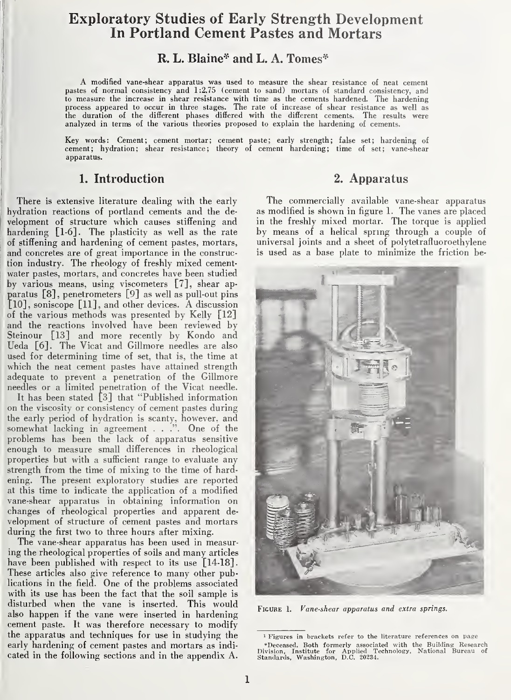## Exploratory Studies of Early Strength Development In Portland Cement Pastes and Mortars

### R. L. Blaine\* and L. A. Tomes\*

A modified vane-shear apparatus was used to measure the shear resistance of neat cement pastes of normal consistency and 1:2.75 (cement to sand) mortars of standard consistency, and to measure the increase in shear resistance with time as the cements hardened. The hardening process appeared to occur in three stages. The rate of increase of shear resistance as well as the duration of the different phases differed with the different cements. The results were analyzed in terms of the various theories proposed to explain the hardening of cements.

Key words: Cement; cement mortar; cement paste; early strength; false set; hardening of cement; hydration; shear resistance; theory of cement hardening; time of set; vane-shear apparatus.

#### 1. Introduction

There is extensive literature dealing with the early hydration reactions of portland cements and the de velopment of structure which causes stiffening and hardening [1-6]. The plasticity as well as the rate of stiffening and hardening of cement pastes, mortars, and concretes are of great importance in the construction industry. The rheology of freshly mixed cementwater pastes, mortars, and concretes have been studied by various means, using viscometers [7], shear apparatus [8], penetrometers [9] as well as pull-out pins [10], soniscope [11], and other devices. A discussion of the various methods was presented by Kelly [12] and the reactions involved have been reviewed by Steinour [13] and more recently by Kondo and Ueda [6]. The Vicat and Gillmore needles are also used for determining time of set, that is, the time at which the neat cement pastes have attained strength adequate to prevent a penetration of the Gillmore needles or a limited penetration of the Vicat needle.

It has been stated [3] that "Published information on the viscosity or consistency of cement pastes during the early period of hydration is scanty, however, and somewhat lacking in agreement . . .". One of the problems has been the lack of apparatus sensitive enough to measure small differences in rheological properties but with a sufficient range to evaluate any strength from the time of mixing to the time of hardening. The present exploratory studies are reported at this time to indicate the application of a modified vane-shear apparatus in obtaining information on changes of rheological properties and apparent de velopment of structure of cement pastes and mortars during the first two to three hours after mixing.

The vane-shear apparatus has been used in measuring the rheological properties of soils and many articles have been published with respect to its use [14-18]. These articles also give reference to many other publications in the field. One of the problems associated with its use has been the fact that the soil sample is disturbed when the vane is inserted. This would also happen if the vane were inserted in hardening cement paste. It was therefore necessary to modify the apparatus and techniques for use in studying the early hardening of cement pastes and mortars as indi cated in the following sections and in the appendix A.

#### 2. Apparatus

The commercially available vane-shear apparatus as modified is shown in figure 1. The vanes are placed in the freshly mixed mortar. The torque is applied by means of a helical spring through a couple of universal joints and a sheet of polytetrafluoroethylene is used as a base plate to minimize the friction be-



FicURE 1. Vane-shear apparatus and extra springs.

<sup>&</sup>lt;sup>1</sup> Figures in brackets refer to the literature references on page Deceased. Both formerly associated with the Building Research Division, Institute for Applied Technology, National Bureau of Standards, Washington, D.C. 20234.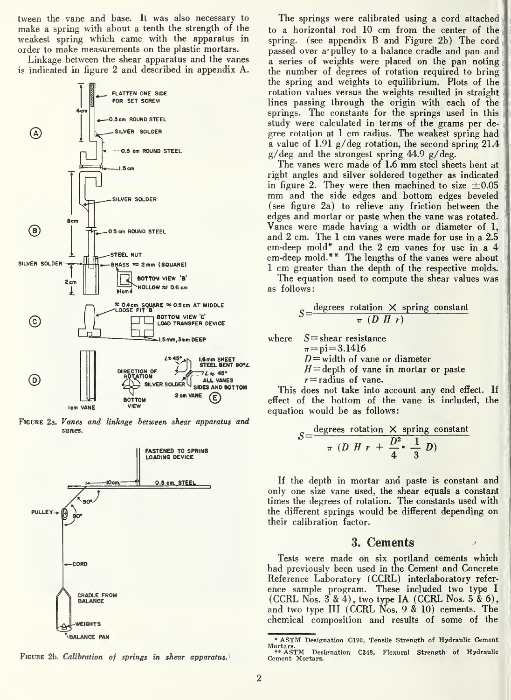tween the vane and base. It was also necessary to make a spring with about a tenth the strength of the weakest spring which came with the apparatus in order to make measurements on the plastic mortars.

Linkage between the shear apparatus and the vanes is indicated in figure 2 and described in appendix A.



FIGURE 2a. Vanes and linkage between shear apparatus and vanes.



FIGURE 2b. Calibration of springs in shear apparatus.<sup>1</sup>

The springs were calibrated using a cord attached to a horizontal rod 10 cm from the center of the spring, (see appendix B and Figure 2b) The cord passed over a' pulley to a balance cradle and pan and a series of weights were placed on the pan noting the number of degrees of rotation required to bring the spring and weights to equilibrium. Plots of the rotation values versus the weights resulted in straight lines passing through the origin with each of the springs. The constants for the springs used in this study were calculated in terms of the grams per de gree rotation at <sup>1</sup> cm radius. The weakest spring had a value of 1.91 g/deg rotation, the second spring 21.4  $g/\text{deg}$  and the strongest spring 44.9 g/deg.

The vanes were made of 1.6 mm steel sheets bent at right angles and silver soldered together as indicated in figure 2. They were then machined to size  $\pm 0.05$ mm and the side edges and bottom edges beveled (see figure 2a) to relieve any friction between the edges and mortar or paste when the vane was rotated. Vanes were made having a width or diameter of 1, and 2 cm. The <sup>1</sup> cm vanes were made for use in <sup>a</sup> 2.5 cm-deep mold\* and the 2 cm vanes for use in a 4  $\parallel$ cm-deep mold.\*\* The lengths of the vanes were about <sup>1</sup> cm greater than the depth of the respective molds.

The equation used to compute the shear values was as follows:

$$
S = \frac{\text{degrees rotation } \times \text{spring constant}}{\pi (D H r)}
$$

where  $S =$  shear resistance

 $\pi = \pi = 3.1416$ 

 $D =$  width of vane or diameter<br> $H =$  depth of vane in mortar or paste

 $r$  = radius of vane.

This does not take into account any end effect. If effect of the bottom of the vane is included, the equation would be as follows:

$$
S = \frac{\text{degrees rotation} \times \text{spring constant}}{\pi (D H r + \frac{D^2}{4} \cdot \frac{1}{3} D)}
$$

If the depth in mortar and paste is constant and only one size vane used, the shear equals a constant times the degrees of rotation. The constants used with the different springs would be different depending on their calibration factor.

#### 3. Cements

Tests were made on six portland cements which had previously been used in the Cement and Concrete Reference Laboratory (CCRL) interlaboratory refer ence sample program. These included two type <sup>I</sup> (CCRL Nos.  $3 \& 4$ ), two type IA (CCRL Nos.  $5 \& 6$ ), and two type III (CCRL Nos. 9 & 10) cements. The chemical composition and results of some of the

ASTM Designation C190, Tensile Strength of Hydraulic Cement Mortars.<br>\*\* ASTM Designation C348, Flexural Strength of Hydraulic<br>Cement Mortars.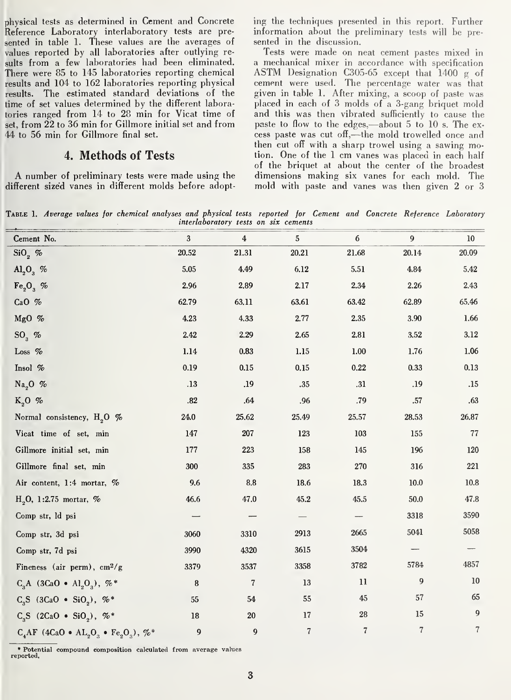physical tests as determined in Cement and Concrete Reference Laboratory interlaboratory tests are pre sented in table 1. These values are the averages of values reported by all laboratories after outlying re sults from a few laboratories had been eliminated. There were 85 to 145 laboratories reporting chemical results and 104 to 162 laboratories reporting physical results. The estimated standard deviations of the time of set values determined by the different laboratories ranged from 14 to 28 min for Vicat time of set, from 22 to 36 min for Gillmore initial set and from 44 to 56 min for Gillmore final set.

#### 4. Methods of Tests

A number of preliminary tests were made using the different sized vanes in different molds before adopting the techniques presented in this report. Further information about the preliminary tests will be pre sented in the discussion.

Tests were made on neat cement pastes mixed in a mechanical mixer in accordance with specification ASTM Designation  $C305-65$  except that 1400 g of cement were used. The percentage water was that given in table 1. After mixing, a scoop of paste was placed in each of 3 molds of a 3-gang briquet mold and this was then vibrated sufficiently to cause the paste to flow to the edges,—about <sup>5</sup> to <sup>10</sup> s. The ex cess paste was cut off,^—the mold trowelled once and then cut off with a sharp trowel using a sawing motion. One of the <sup>1</sup> cm vanes was placed in each half of the briquet at about the center of the broadest dimensions making six vanes for each mold. The mold with paste and vanes was then given 2 or 3

Table 1. Average values for chemical analyses and physical tests reported for Cement and Concrete Reference Laboratory interlaboratory tests on six cements

| Cement No.                                                                             | 3             | 4                        | 5     | 6                 | 9             | 10     |
|----------------------------------------------------------------------------------------|---------------|--------------------------|-------|-------------------|---------------|--------|
| SiO <sub>2</sub> $%$                                                                   | $\pmb{20.52}$ | $21.31\,$                | 20.21 | 21.68             | 20.14         | 20.09  |
| $\mathrm{Al}_2\mathrm{O}_3$ %                                                          | 5.05          | 4.49                     | 6.12  | 5.51              | 4.84          | 5.42   |
| $Fe2O3$ %                                                                              | 2.96          | 2.89                     | 2.17  | 2.34              | $2.26\,$      | 2.43   |
| CaO $%$                                                                                | 62.79         | 63.11                    | 63.61 | 63.42             | 62.89         | 65.46  |
| MgO %                                                                                  | 4.23          | 4.33                     | 2.77  | 2.35              | 3.90          | 1.66   |
| $SO_3$ %                                                                               | 2.42          | 2.29                     | 2.65  | 2.81              | 3.52          | 3.12   |
| Loss $%$                                                                               | 1.14          | 0.83                     | 1.15  | 1.00              | 1.76          | 1.06   |
| Insol %                                                                                | 0.19          | 0.15                     | 0.15  | 0.22              | 0.33          | 0.13   |
| $Na2O$ %                                                                               | .13           | .19                      | .35   | .31               | .19           | .15    |
| $K2O$ %                                                                                | .82           | .64                      | .96   | .79               | .57           | .63    |
| Normal consistency, H <sub>2</sub> O %                                                 | 24.0          | 25.62                    | 25.49 | 25.57             | $\pmb{28.53}$ | 26.87  |
| Vicat time of set, min                                                                 | 147           | 207                      | 123   | 103               | 155           | $77\,$ |
| Gillmore initial set, min                                                              | 177           | 223                      | 158   | 145               | 196           | 120    |
| Gillmore final set, min                                                                | 300           | 335                      | 283   | 270               | 316           | 221    |
| Air content, 1:4 mortar, %                                                             | 9.6           | $\bf 8.8$                | 18.6  | 18.3              | 10.0          | 10.8   |
| $H_2O$ , 1:2.75 mortar, %                                                              | 46.6          | 47.0                     | 45.2  | 45.5              | 50.0          | 47.8   |
| Comp str, ld psi                                                                       |               |                          |       | $\hspace{0.05cm}$ | 3318          | 3590   |
| Comp str, 3d psi                                                                       | 3060          | 3310                     | 2913  | 2665              | 5041          | 5058   |
| Comp str, 7d psi                                                                       | 3990          | 4320                     | 3615  | 3504              | ---           |        |
| Fineness (air perm), $cm^2/g$                                                          | 3379          | 3537                     | 3358  | 3782              | 5784          | 4857   |
| $C_3A$ (3CaO • Al <sub>2</sub> O <sub>3</sub> ), %*                                    | 8             | $\overline{\mathcal{L}}$ | 13    | 11                | 9             | $10\,$ |
| $C_3S$ (3CaO • SiO <sub>2</sub> ), %*                                                  | 55            | 54                       | 55    | 45                | 57            | 65     |
| $C_3S$ (2CaO • SiO <sub>2</sub> ), %*                                                  | 18            | 20                       | 17    | ${\bf 28}$        | 15            | 9      |
| $C_4$ AF (4CaO • AL <sub>2</sub> O <sub>3</sub> • Fe <sub>2</sub> O <sub>3</sub> ), %* | 9             | 9                        | 7     | 7                 | $\sqrt{7}$    | 7      |

Potential compound composition calculated from average values reported.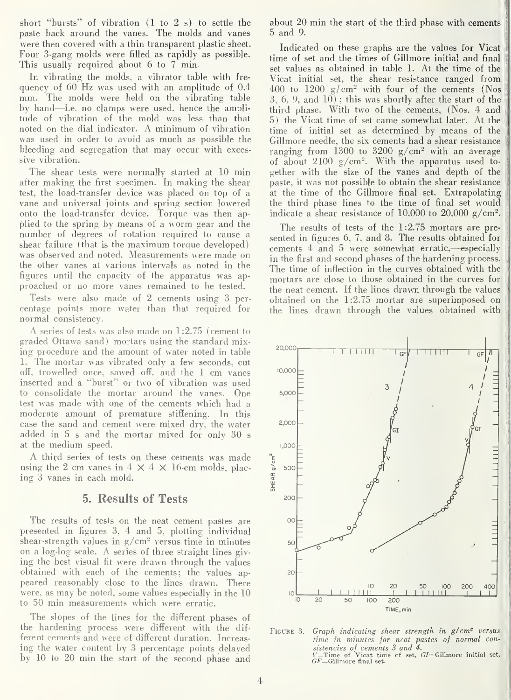short "bursts" of vibration (1 to 2 s) to settle the paste back around the vanes. The molds and vanes were then covered with a thin transparent plastic sheet. Four 3-gang molds were filled as rapidly as possible. This usually required about 6 to 7 min.

In vibrating the molds, a vibrator table with frequency of 60 Hz was used with an amplitude of 0.4 mm. The molds were held on the vibrating table by hand—i.e. no clamps were used, hence the amplitude of vibration of the mold was less than that noted on the dial indicator. A minimum of vibration was used in order to avoid as much as possible the bleeding and segregation that may occur with excessive vibration.

The shear tests were normally started at 10 min after making the first specimen. In making the shear test, the load-transfer device was placed on top of a vane and universal joints and spring section lowered onto the load-transfer device. Torque was then ap plied to the spring by means of <sup>a</sup> worm gear and the number of degrees of rotation required to cause a shear failure (that is the maximum torque developed) was observed and noted. Measurements were made on the other vanes at various intervals as noted in the figures until the capacity of the apparatus was ap proached or no more vanes remained to be tested.

Tests were also made of 2 cements using 3 per centage points more water than that required for normal consistency.

A series of tests was also made on 1:2.75 (cement to graded Ottawa sand) mortars using the standard mixing procedure and the amount of water noted in table 1. The mortar was vibrated only a few seconds, cut off, trowelled once, sawed off. and the <sup>1</sup> cm vanes inserted and a "burst" or two of vibration was used to consolidate the mortar around the vanes. One test was made with one of the cements which had a moderate amount of premature stiffening. In this case the sand and cement were mixed dry, the water added in 5 <sup>s</sup> and the mortar mixed for only 30 <sup>s</sup> at the medium speed.

A third series of tests on these cements was made<br>ing the 2 cm vanes in  $4 \times 4 \times 16$ -cm molds, place<br>g 3 vanes in each mold. using the 2 cm vanes in  $4 \times 4 \times 16$ -cm molds, placing 3 vanes in each mold.

#### 5. Results of Tests

The results of tests on the neat cement pastes are presented in figures 3, 4 and 5, plotting individual shear-strength values in  $g/cm^2$  versus time in minutes on <sup>a</sup> log-log scale. A series of three straight lines giving the best visual fit were drawn through the values obtained with each of the cements; the values ap peared reasonably close to the lines drawn. There were, as may be noted, some values especially in the 10 to 50 min measurements which were erratic.

The slopes of the lines for the different phases of the hardening process were different with the dif ferent cements and were of different duration. Increas ing the water content by 3 percentage points delayed by 10 to 20 min the start of the second phase and

about 20 min the start of the third phase with cements 5 and 9.

Indicated on these graphs are the values for Vicat time of set and the times of Gillmore initial and final set values as obtained in table 1. At the time of the Vicat initial set, the shear resistance ranged from 400 to 1200  $g/cm^2$  with four of the cements (Nos 3, 6, 9, and 10) ; this was shortly after the start of the third phase. With two of the cements, (Nos. 4 and 5) the Vicat time of set came somewhat later. At the time of initial set as determined by means of the Gillmore needle, the six cements had a shear resistance ranging from 1300 to 3200  $g/cm^2$  with an average of about  $2100 \text{ g/cm}^2$ . With the apparatus used together with the size of the vanes and depth of the paste, it was not possible to obtain the shear resistance at the time of the Gillmore final set. Extrapolating the third phase lines to the time of final set would indicate a shear resistance of 10,000 to 20,000  $g/cm^2$ .

The results of tests of the 1:2.75 mortars are pre sented in figures 6, 7, and 8. The results obtained for cements <sup>4</sup> and <sup>5</sup> were somewhat erratic,—especially in the first and second phases of the hardening process. The time of inflection in the curves obtained with the mortars are close to those obtained in the curves for the neat cement. If the lines drawn through the values obtained on the 1:2.75 mortar are superimposed on the lines drawn through the values obtained with



FIGURE 3. Graph indicating shear strength in g/cm<sup>2</sup> versus time in minutes for neat pastes of normal consistencies of cements 3 and 4.<br>V=Time of Vicat time of set, GI=Gillmore initial set,  $V=\text{Gillmore}$  final set.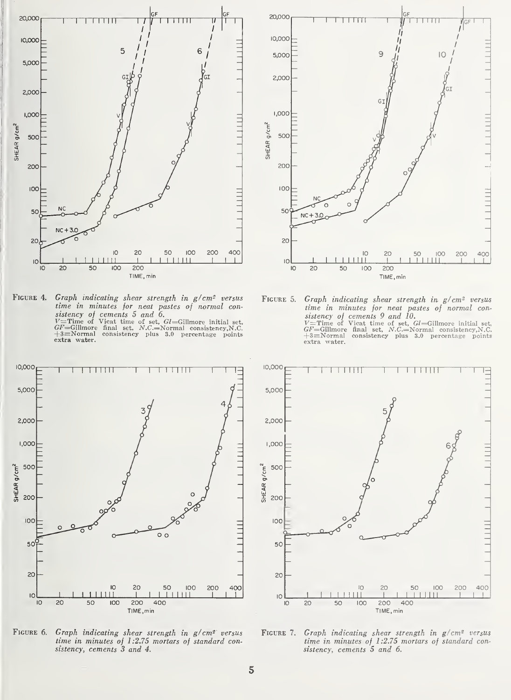

FIGURE 4. Graph indicating shear strength in g/cm<sup>2</sup> versus time in minutes for neat pastes of normal con sistency of cements 5 and 6.<br>V=Time of Vicat time of set,  $GI$ =Gillmore initial set,<br> $GF$ =Gillmore final set,  $N.C$ .=Normal consistency,N.C.<br>+3=Normal consistency plus 3.0 percentage points<br>extra water.



FIGURE 5. Graph indicating shear strength in  $g/cm^2$  versus time in minutes for neat pastes of normal con-<br>sistency of cements 9 and 10.<br> $V =$ Time of Vicat time of set,  $GI =$ Gillmore initial set,<br> $GF =$ Gillmore final set,  $N.C. =$ Normal consistency,N.C.<br>+3=Normal consistency plus 3.0 pe extra water.



FIGURE 6. Graph indicating shear strength in g/cm<sup>2</sup> versus FIGURE 7. Graph indicating shear strength in g/cm<sup>2</sup> versus  $\begin{tabular}{ll} Graph~indicating~shear~strength~in~g/cm²~versus & \textcolor{red}{\textbf{FicURE 7.} } Graph~indicating~shear~stiime~in~minutes~of~1:2.75~mortars~of~standard~con\\ time~in~minutes~of~1:2.75~nistency,~cements~3~and~4.\\ & ~~sistency,~cements~5~and~6.\\ \end{tabular}$ 



time in minutes of <sup>1</sup> :2.75 mortars of standard con- time in minutes of <sup>1</sup> :2.75 mortars of standard con-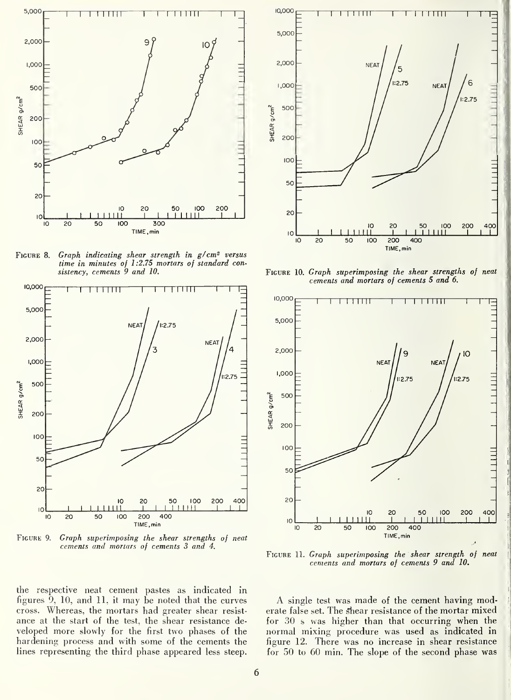

FIGURE 8. Graph indicating shear strength in  $g/cm^2$  versus time in minutes of 1:2.75 mortars of standard consistency, cements 9 and 10.



FIGURE 9. Graph superimposing the shear strengths of neat cements and mortars of cements 3 and 4.

the respective neat cement pastes as indicated in figures 9, 10, and 11, it may be noted that the curves cross. Whereas, the mortars had greater shear resist ance at the start of the test, the shear resistance de veloped more slowly for the first two phases of the hardening process and with some of the cements the lines representing the third phase appeared less steep.



FIGURE 10. Graph superimposing the shear strengths of neat cements and mortars of cements 5 and 6.



FIGURE 11. Graph superimposing the shear strength of neat cements and mortars of cements 9 and 10.

A single test was made of the cement having moderate false set. The Shear resistance of the mortar mixed for 30 <sup>s</sup> was higher than that occurring when the normal mixing procedure was used as indicated in figure 12. There was no increase in shear resistance for 50 to 60 min. The slope of the second phase was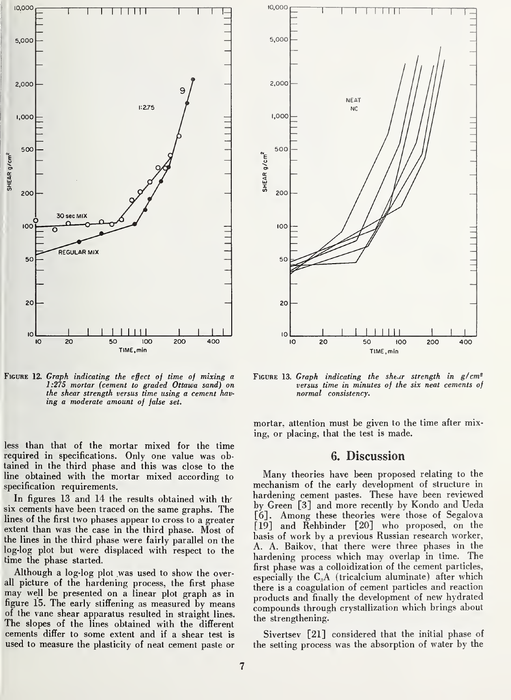

FIGURE 12. Graph indicating the effect of time of mixing a 1:275 mortar (cement to graded Ottawa sand) on the shear strength versus time using a cement hav ing a moderate amount of false set.

less than that of the mortar mixed for the time required in specifications. Only one value was obtained in the third phase and this was close to the line obtained with the mortar mixed according to specification requirements.

In figures 13 and 14 the results obtained with the six cements have been traced on the same graphs. The lines of the first two phases appear to cross to a greater extent than was the case in the third phase. Most of the lines in the third phase were fairly parallel on the log-log plot but were displaced with respect to the time the phase started.

Although a log-log plot was used to show the overall picture of the hardening process, the first phase may well be presented on <sup>a</sup> linear plot graph as in figure 15. The early stiffening as measured by means of the vane shear apparatus resulted in straight lines. The slopes of the lines obtained with the different cements differ to some extent and if a shear test is used to measure the plasticity of neat cement paste or



FIGURE 13. Graph indicating the shear strength in  $g/cm^2$ versus time in minutes of the six neat cements of normal consistency.

mortar, attention must be given to the time after mixing, or placing, that the test is made.

#### 6. Discussion

Many theories have been proposed relating to the mechanism of the early development of structure in hardening cement pastes. These have been reviewed by Green [3] and more recently by Kondo and Ueda [6]. Among these theories were those of Segalova [19] and Rehbinder [20] who proposed, on the basis of work by a previous Russian research worker, A. A. Baikov, that there were three phases in the hardening process which may overlap in time. The first phase was a colloidization of the cement particles, especially the  $C<sub>a</sub>A$  (tricalcium aluminate) after which there is a coagulation of cement particles and reaction products and finally the development of new hydrated compounds through crystallization which brings about the strengthening.

Sivertsev [21] considered that the initial phase of the setting process was the absorption of water by the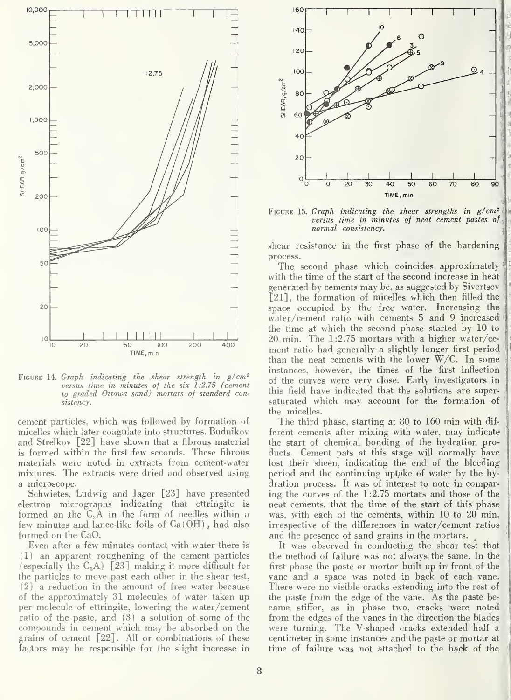

FIGURE 14. Graph indicating the shear strength in  $g/cm^2$ versus time in minutes of the six <sup>1</sup> :2.75 (cement to graded Ottawa sand) mortars of standard consistency.

cement particles, which was followed by formation of micelles which later coagulate into structures. Budnikov and Strelkov [22] have shown that a fibrous material is formed within the first few seconds. These fibrous materials were noted in extracts from cement-water mixtures. The extracts were dried and observed using a microscope.

Schwietes, Ludwig and Jager [23] have presented electron micrographs indicating that ettringite is formed on the  $C<sub>3</sub>A$  in the form of needles within a few minutes and lance-like foils of  $Ca(OH)$ , had also formed on the CaO.

Even after a few minutes contact with water there is (1) an apparent roughening of the cement particles (especially the  $C_3A$ ) [23] making it more difficult for the particles to move past each other in the shear test, (2) a reduction in the amount of free water because of the approximately 31 molecules of water taken up per molecule of ettringite, lowering the water/cement ratio of the paste, and (3) a solution of some of the compounds in cement which may be absorbed on the grains of cement [22] . All or combinations of these factors may be responsible for the slight increase in



FIGURE 15. Graph indicating the shear strengths in  $g/cm^2$ versus time in minutes of neat cement pastes of normal consistency.

shear resistance in the first phase of the hardening process.

The second phase which coincides approximately with the time of the start of the second increase in heat generated by cements may be, as suggested by Sivertsev [21], the formation of micelles which then filled the space occupied by the free water. Increasing the water/cement ratio with cements 5 and 9 increased the time at which the second phase started by 10 to 20 min. The 1:2.75 mortars with a higher water/cement ratio had generally a slightly longer first period than the neat cements with the lower  $W/C$ . In some instances, however, the times of the first inflection of the curves were very close. Early investigators in this field have indicated that the solutions are super saturated which may account for the formation of the micelles.

The third phase, starting at 80 to 160 min with dif ferent cements after mixing with water, may indicate the start of chemical bonding of the hydration products. Cement pats at this stage will normally have lost their sheen, indicating the end of the bleeding period and the continuing uptake of water by the hydration process. It was of interest to note in comparing the curves of the 1:2.75 mortars and those of the neat cements, that the time of the start of this phase was, with each of the cements, within 10 to 20 min, irrespective of the differences in water/cement ratios and the presence of sand grains in the mortars.

It was observed in conducting the shear test that the method of failure was not always the same. In the first phase the paste or mortar built up in front of the vane and a space was noted in back of each vane. There were no visible cracks extending into the rest of the paste from the edge of the vane. As the paste be came stiffer, as in phase two, cracks were noted from the edges of the vanes in the direction the blades were turning. The V-shaped cracks extended half a centimeter in some instances and the paste or mortar at time of failure was not attached to the back of the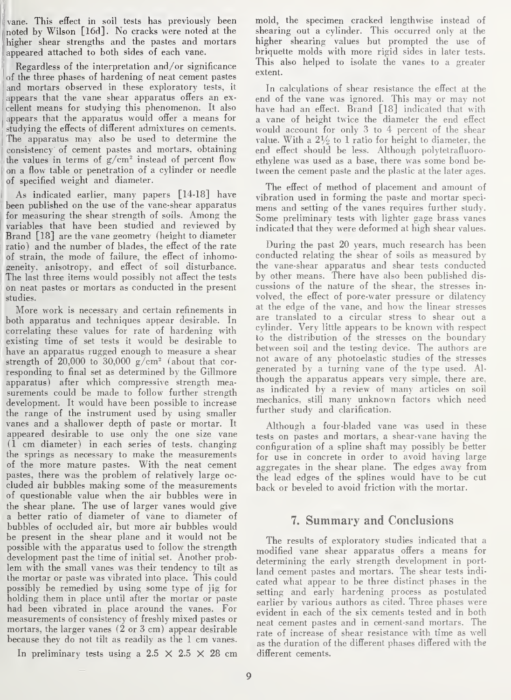vane. This effect in soil tests has previously been noted by Wilson [16d]. No cracks were noted at the higher shear strengths and the pastes and mortars appeared attached to both sides of each vane.

Regardless of the interpretation and/or significance of the three phases of hardening of neat cement pastes and mortars observed in these exploratory tests, it appears that the vane shear apparatus offers an excellent means for studying this phenomenon. It also appears that the apparatus would offer a means for studying the effects of different admixtures on cements, The apparatus may also be used to determine the consistency of cement pastes and mortars, obtaining the values in terms of  $g/cm^2$  instead of percent flow on a flow table or penetration of a cylinder or needle of specified weight and diameter.

As indicated earlier, many papers [14-18] have been published on the use of the vane-shear apparatus for measuring the shear strength of soils. Among the variables that have been studied and reviewed by Brand [18] are the vane geometry (height to diameter ratio) and the number of blades, the effect of the rate of strain, the mode of failure, the effect of inhomogeneity, anisotropy, and effect of soil disturbance. The last three items would possibly not affect the tests on neat pastes or mortars as conducted in the present studies.

More work is necessary and certain refinements in both apparatus and techniques appear desirable. In correlating these values for rate of hardening with existing time of set tests it would be desirable to have an apparatus rugged enough to measure a shear strength of 20,000 to 30,000  $g/cm^2$  (about that corresponding to final set as determined by the Gillmore apparatus) after which compressive strength measurements could be made to follow further strength development. It would have been possible to increase the range of the instrument used by using smaller vanes and a shallower depth of paste or mortar. It appeared desirable to use only the one size vane (1 cm diameter) in each series of tests, changing the springs as necessary to make the measurements of the more mature pastes. With the neat cement pastes, there was the problem of relatively large oc cluded air bubbles making some of the measurements of questionable value when the air bubbles were in the shear plane. The use of larger vanes would give a better ratio of diameter of vane to diameter of bubbles of occluded air, but more air bubbles would be present in the shear plane and it would not be possible with the apparatus used to follow the strength development past the time of initial set. Another problem with the small vanes was their tendency to tilt as the mortar or paste was vibrated into place. This could possibly be remedied by using some type of jig for holding them in place until after the mortar or paste had been vibrated in place around the vanes. For measurements of consistency of freshly mixed pastes or mortars, the larger vanes  $(2 \text{ or } 3 \text{ cm})$  appear desirable because they do not tilt as readily as the <sup>1</sup> cm vanes.

mold, the specimen cracked lengthwise instead of shearing out a cylinder. This occurred only at the higher shearing values but prompted the use of briquette molds with more rigid sides in later tests. This also helped to isolate the vanes to a greater extent.

In calculations of shear resistance the effect at the end of the vane was ignored. This may or may not have had an effect. Brand [18] indicated that with a vane of height twice the diameter the end effect would account for only 3 to 4 percent of the shear value. With a  $2\frac{1}{2}$  to 1 ratio for height to diameter, the end effect should be less. Although polytetrafluoroethylene was used as a base, there was some bond be tween the cement paste and the plastic at the later ages.

The effect of method of placement and amount of vibration used in forming the paste and mortar speci mens and setting of the vanes requires further study. Some preliminary tests with lighter gage brass vanes indicated that they were deformed at high shear values.

During the past 20 years, much research has been conducted relating the shear of soils as measured by the vane-shear apparatus and shear tests conducted by other means. There have also been published dis cussions of the nature of the shear, the stresses in volved, the effect of pore-water pressure or dilatency at the edge of the vane, and how the linear stresses are translated to a circular stress to shear out a cylinder. Very little appears to be known with respect to the distribution of the stresses on the boundary between soil and the testing device. The authors are not aware of any photoelastic studies of the stresses generated by a turning vane of the type used. Al though the apparatus appears very simple, there are, as indicated by a review of many articles on soil mechanics, still many unknown factors which need further study and clarification.

Although a four-bladed vane was used in these tests on pastes and mortars, a shear-vane having the configuration of a spline shaft may possibly be better for use in concrete in order to avoid having large aggregates in the shear plane. The edges away from the lead edges of the splines would have to be cut back or beveled to avoid friction with the mortar.

#### 7. Summary and Conclusions

The results of exploratory studies indicated that a modified vane shear apparatus offers a means for determining the early strength development in portland cement pastes and mortars. The shear tests indi cated what appear to be three distinct phases in the setting and early hardening process as postulated earlier by various authors as cited. Three phases were evident in each of the six cements tested and in both neat cement pastes and in cement-sand mortars. The rate of increase of shear resistance with time as well as the duration of the different phases differed with the different cements.

In preliminary tests using a 2.5  $\times$  2.5  $\times$  28 cm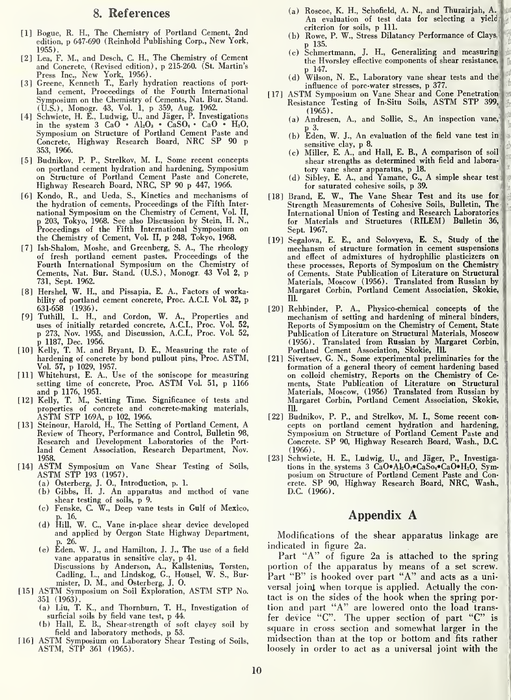#### 8. References

- [1] Bogue, R. H., The Chemistry of Portland Cement, 2nd edition, <sup>p</sup> 647-690 (Reinhold Publishing Corp., New York, 1955).
- [2] Lea, F. M., and Desch, C. H., The Chemistry of Cement and Concrete, (Revised edition), p 215-260. (St. Martin's Press Inc., New York, 1956).
- [3] Greene, Kenneth T., Early hydration reactions of port land cement. Proceedings of the Fourth International Symposium on the Chemistry of Cements, Nat. Bur. Stand. (U.S.), Monogr. 43, Vol. 1, p 359, Aug. 1962.
- [4] Schwiete, H. E., Ludwig, U., and Jager, P. Investigations<br>in the system  $3 \text{ CaO} \cdot \text{Al}_2\text{O}_3 \cdot \text{CaSO}_4 \cdot \text{CaO} \cdot \text{H}_2\text{O}_2$ Symposium on Structure of Portland Cement Paste and Concrete, Highway Research Board, NRC SP <sup>90</sup> <sup>p</sup> 353, 1966.
- [5] Budnikov, P. P., Strelkov, M. I., Some recent concepts on portland cement hydration and hardening, Symposium on Structure of Portland Cement Paste and Concrete, Highway Research Board, NRC, SP 90 p 447, 1966.
- [6] Kondo, R., and Ueda, S., Kinetics and mechanisms of the hydration of cements. Proceedings of the Fifth Inter national Symposium on the Chemistry of Cement, Vol. II, p 203, Tokyo, 1968. See also Discussion by Stein, H. N., Proceedings of the Fifth International Symposium on the Chemistry of Cement, Vol. II, p 248, Tokyo, 1968.
- [7] Ish-Shalom, Moshe, and Greenberg, S. A., The rheology of fresh portland cement pastes. Proceedings of the Fourth International Symposium on the Chemistry of Cements, Nat. Bur. Stand. (U.S.), Monogr. 43 Vol 2, p 731, Sept. 1962.
- [8] Hershel, W. H., and Pissapia, E. A., Factors of workability of portland cement concrete, Proc. A.C.I. Vol. 32, p
- 631-658 (1936). [9] Tuthill, L. H., and Cordon, W. A., Properties and uses of initially retarded concrete, A.C.I., Proc. Vol. 52, p 273, Nov. 1955, and Discussion, A.C.I., Proc. Vol. 52, p 1187, Dec. 1956.
- [10] Kelly, T. M. and Bryant, D. E., Measuring the rate of hardening of concrete by bond pullout pins, Proc. ASTM, Vol. 57, p 1029, 1957.
- [11] Whitehurst, E. A., Use of the soniscope for measuring setting time of concrete, Proc. ASTM Vol. 51, <sup>p</sup> <sup>1166</sup>
- and p 1176, 1951. [12] Kelly, T. M., Setting Time. Significance of tests and properties of concrete and concrete-making materials, ASTM STP 169A, <sup>p</sup> 102, 1966. [13] Steinour, Harold, H., The Setting of Portland Cement, A
- Review of Theory, Performance and Control, Bulletin 98, Research and Development Laboratories of the Port land Cement Association, Research Department, Nov. 1958.
- [14] ASTM Symposium on Vane Shear Testing of Soils, ASTM STP <sup>193</sup> (1957).
	- (a) Osterberg, J. 0., Introduction, p. 1.
	- (b) Gibbs, H. J. An apparatus and method of vane
	- shear testing of soils, p 9. (c) Fenske, C. W., Deep vane tests in Gulf of Mexico, p. 16.
	- (d) Hill, W. C, Vane in-place shear device developed and applied by Oergon State Highway Department, p. 26.
	- (e) Eden, W. J., and Hamilton, J. J., The use of a field vane apparatus in sensitive clay, p 41.<br>Discussions by Anderson, A., Kallstenius, Torsten, Cadling, L., and Lindskog, G., Housel, W. S., Bur-mister, D. M., and Osterberg, J. 0.
- [15] ASTM Symposium on Soil Exploration, ASTM STP No. 351 (1963).
	- (a) Liu, T. K., and Thornburn, T. H., Investigation of surficial soils by field vane test, p 44.
	- (b) Hall, E. B., Shear-strength of soft clayey soil by field and laboratory methods, p 53.
- [16] ASTM Symposium on Laboratory Shear Testing of Soils, ASTM, STP 361 (1965).
- (a) Roscoe, K. H., Schofield, A. N., and Thurairjah, A. An evaluation of test data for selecting a yield criterion for soils, p 111.
- (b) Rowe, P. W., Stress Dilatancy Performance of Clays.  $\mathbb{F}_1^*$ p 135.
- (c) Schmertmann, J. H., Generalizing and measuringthe Hvorsley effective components of shear resistance, p 147.
- $(d)$  Wilson, N. E., Laboratory vane shear tests and the influence of pore-water stresses, p 377.
- [17] ASTM Symposium on Vane Shear and Cone Penetration Resistance Testing of In-Situ Soils, ASTM STP 399, (1965).
	- (1965).<br>(a) Andresen, A., and Sollie, S., An inspection vane,<sup> $\frac{1}{L}$ </sup> p 3.
	- (b) Eden, W. J., An evaluation of the field vane test in| sensitive clay, p 8. ]
	- (c) Miller, E. A., and Hall, E. B., A comparison of soil; shear strengths as determined with field and labora-
	- tory vane shear apparatus, p 18.  $(d)$  Sibley, E. A., and Yamane, G., A simple shear test for saturated cohesive soils, p 39. j
- [18] Brand, E. W., The Vane Shear Test and its use for.1 Strength Measurements of Cohesive Soils, Bulletin, The International Union of Testing and Research Laboratories for Materials and Structures (RILEM) Bulletin 36, Sept. 1967.
- [19] Segalova, E. E., and Solovyeva, E. S., Study of the mechansm of structure formation in cement suspensions and effect of admixtures of hydrophilic plasticizers on these processes. Reports of Symposium on the Chemistry of Cements. State Publication of Literature on Structural Materials, Moscow (1956). Translated from Russian by Margaret Corbin, Portland Cement Association, Skokie, 111.
- [20] Rehbinder, P. A., Physico-chemical concepts of the mechanism of setting and hardening of mineral binders, Reports of Symposium on the Chemistry of Cement, State Publication of Literature on Structural Materials, Moscow (1956). Translated from Russian by Margaret Corbin, Portland Cement Association, Skokie, IlL
- [21] Sivertsev, G. N., Some experimental preliminaries for the formation of a general theory of cement hardening based on colloid chemistry. Reports on the Chemistry of Ce ments, State Publication of Literature on Structural Materials, Moscow, (1956) Translated from Russian by Margaret Corbin, Portland Cement Association, Skokie, 111.
- [22] Budnikov, P. P., and Strelkov, M. I., Some recent concepts on Portland cement hydration and hardening, Symposium on Structure of Portland Cement Paste and Concrete. SP 90, Highway Research Board, Wash., D.C. (1966).
- [23] Schwiete, H. E., Ludwig, U., and Jager, P., Investigations in the systems 3 CaO»Al203»CaSo4»CaO»H20, Symposium on Structure of Portland Cement Paste and Con-crete. SP 90, Highway Research Board, NRC, Wash., D.C. (1966).

#### Appendix A

Modifications of the shear apparatus linkage are indicated in figure 2a.

Part "A" of figure 2a is attached to the spring portion of the apparatus by means of a set screw. Part "B" is hooked over part "A" and acts as a universal joint when torque is applied. Actually the contact is on the sides of the hook when the spring portion and part "A" are lowered onto the load transfer device "C". The upper section of part "C" is square in cross section and somewhat larger in the midsection than at the top or bottom and fits rather loosely in order to act as a universal joint with the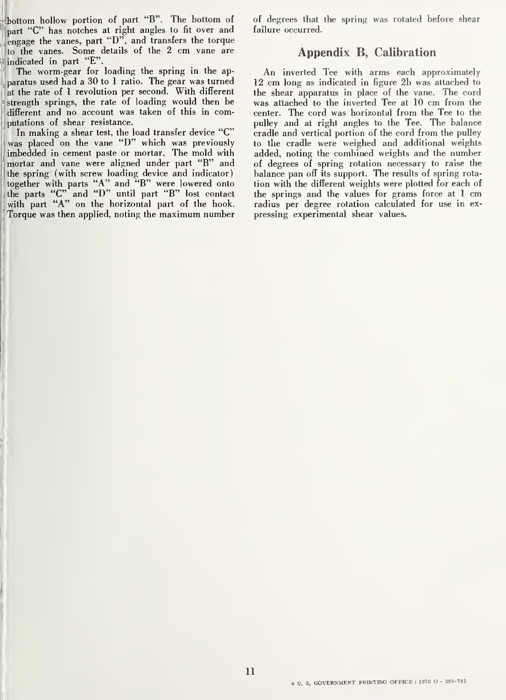bottom hollow portion of part "B". The bottom of part "C" has notches at right angles to fit over and engage the vanes, part " $D$ ", and transfers the torque to the vanes. Some details of the 2 cm vane are indicated in part "E".

The worm-gear for loading the spring in the apparatus used had a 30 to 1 ratio. The gear was turned at the rate of <sup>1</sup> revolution per second. With diflferent strength springs, the rate of loading would then be different and no account was taken of this in computations of shear resistance.

In making a shear test, the load transfer device "C" was placed on the vane "D" which was previously imbedded in cement paste or mortar. The mold with mortar and vane were aligned under part "B" and the spring (with screw loading device and indicator) together with parts "A" and "B" were lowered onto the parts "C" and "D" until part "B" lost contact with part "A" on the horizontal part of the hook. Torque was then applied, noting the maximum number

of degrees that the spring was rotated before shear failure occurred.

#### Appendix B, Calibration

An inverted Tee with arms each approximately 12 cm long as indicated in figure 2b was attached to the shear apparatus in place of the vane. The cord was attached to the inverted Tee at 10 cm from the center. The cord was horizontal from the Tee to the pulley and at right angles to the Tee. The balance cradle and vertical portion of the cord from the pulley to the cradle were weighed and additional weights added, noting the combined weights and the number of degrees of spring rotation necessary to raise the balance pan off its support. The results of spring rota tion with the different weights were plotted for each of the springs and the values for grams force at <sup>1</sup> cm radius per degree rotation calculated for use in ex pressing experimental shear values.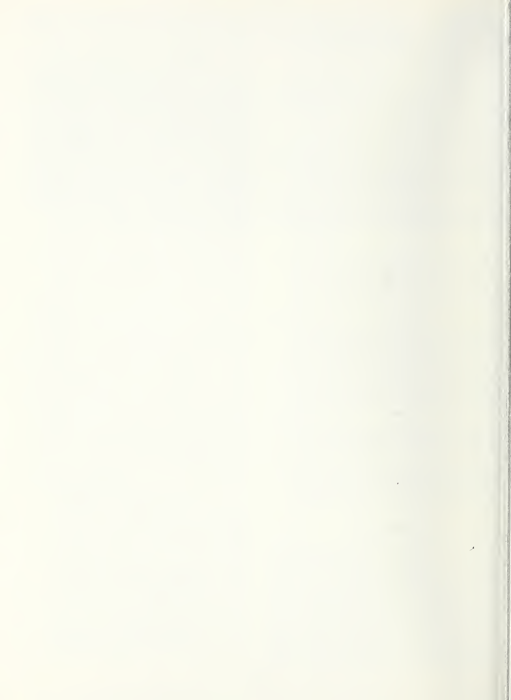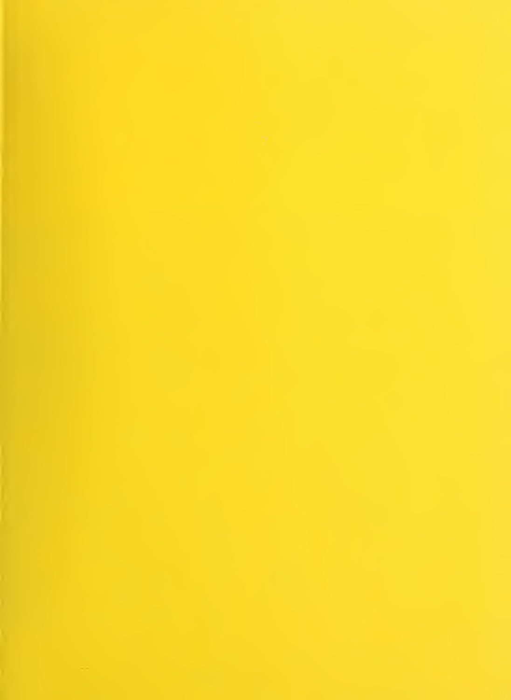